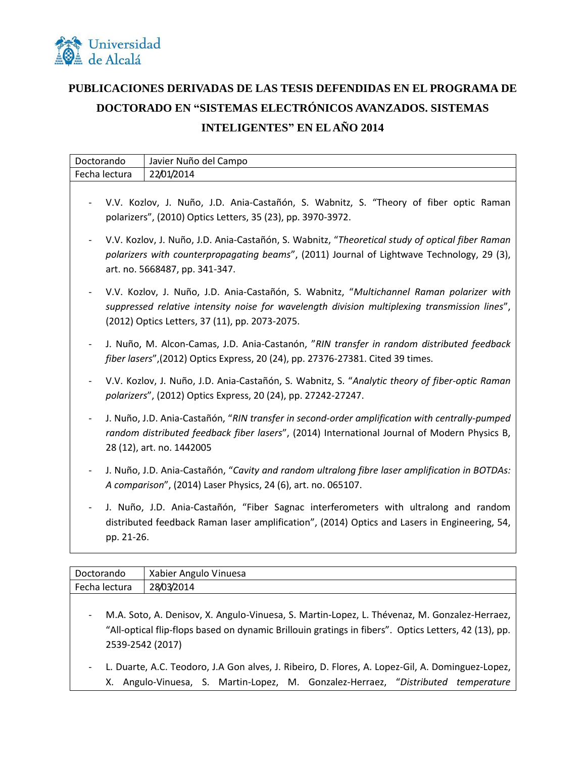

## **PUBLICACIONES DERIVADAS DE LAS TESIS DEFENDIDAS EN EL PROGRAMA DE DOCTORADO EN "SISTEMAS ELECTRÓNICOS AVANZADOS. SISTEMAS INTELIGENTES" EN EL AÑO 2014**

| Doctorando    | Javier Nuño del Campo                                                                                                                                                                                                                       |
|---------------|---------------------------------------------------------------------------------------------------------------------------------------------------------------------------------------------------------------------------------------------|
| Fecha lectura | 22/01/2014                                                                                                                                                                                                                                  |
|               | V.V. Kozlov, J. Nuño, J.D. Ania-Castañón, S. Wabnitz, S. "Theory of fiber optic Raman<br>polarizers", (2010) Optics Letters, 35 (23), pp. 3970-3972.                                                                                        |
|               | V.V. Kozlov, J. Nuño, J.D. Ania-Castañón, S. Wabnitz, "Theoretical study of optical fiber Raman<br>polarizers with counterpropagating beams", (2011) Journal of Lightwave Technology, 29 (3),<br>art. no. 5668487, pp. 341-347.             |
|               | V.V. Kozlov, J. Nuño, J.D. Ania-Castañón, S. Wabnitz, "Multichannel Raman polarizer with<br>suppressed relative intensity noise for wavelength division multiplexing transmission lines",<br>(2012) Optics Letters, 37 (11), pp. 2073-2075. |
|               | J. Nuño, M. Alcon-Camas, J.D. Ania-Castanón, "RIN transfer in random distributed feedback<br>fiber lasers", (2012) Optics Express, 20 (24), pp. 27376-27381. Cited 39 times.                                                                |
|               | V.V. Kozlov, J. Nuño, J.D. Ania-Castañón, S. Wabnitz, S. "Analytic theory of fiber-optic Raman<br>polarizers", (2012) Optics Express, 20 (24), pp. 27242-27247.                                                                             |
|               | J. Nuño, J.D. Ania-Castañón, "RIN transfer in second-order amplification with centrally-pumped<br>random distributed feedback fiber lasers", (2014) International Journal of Modern Physics B,<br>28 (12), art. no. 1442005                 |
|               | J. Nuño, J.D. Ania-Castañón, "Cavity and random ultralong fibre laser amplification in BOTDAs:<br>A comparison", (2014) Laser Physics, 24 (6), art. no. 065107.                                                                             |
| pp. 21-26.    | J. Nuño, J.D. Ania-Castañón, "Fiber Sagnac interferometers with ultralong and random<br>distributed feedback Raman laser amplification", (2014) Optics and Lasers in Engineering, 54,                                                       |
|               |                                                                                                                                                                                                                                             |

| Doctorando    | Xabier Angulo Vinuesa                                                                                                                                                                                                    |
|---------------|--------------------------------------------------------------------------------------------------------------------------------------------------------------------------------------------------------------------------|
| Fecha lectura | 28/03/2014                                                                                                                                                                                                               |
| -             | M.A. Soto, A. Denisov, X. Angulo-Vinuesa, S. Martin-Lopez, L. Thévenaz, M. Gonzalez-Herraez,<br>"All-optical flip-flops based on dynamic Brillouin gratings in fibers". Optics Letters, 42 (13), pp.<br>2539-2542 (2017) |
| -             | L. Duarte, A.C. Teodoro, J.A Gon alves, J. Ribeiro, D. Flores, A. Lopez-Gil, A. Dominguez-Lopez,                                                                                                                         |
|               | X. Angulo-Vinuesa, S. Martin-Lopez, M. Gonzalez-Herraez, "Distributed temperature                                                                                                                                        |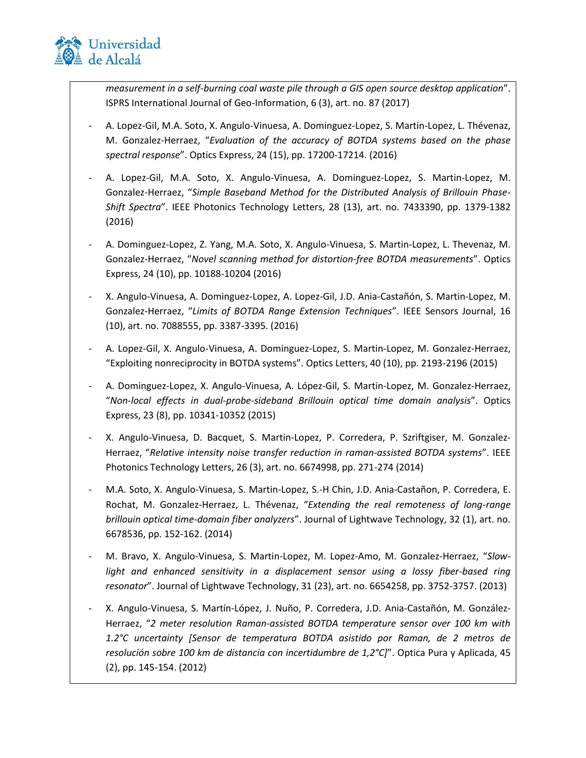

*measurement in a self-burning coal waste pile through a GIS open source desktop application*". ISPRS International Journal of Geo-Information, 6 (3), art. no. 87 (2017)

- A. Lopez-Gil, M.A. Soto, X. Angulo-Vinuesa, A. Dominguez-Lopez, S. Martin-Lopez, L. Thévenaz, M. Gonzalez-Herraez, "*Evaluation of the accuracy of BOTDA systems based on the phase spectral response*". Optics Express, 24 (15), pp. 17200-17214. (2016)
- A. Lopez-Gil, M.A. Soto, X. Angulo-Vinuesa, A. Dominguez-Lopez, S. Martin-Lopez, M. Gonzalez-Herraez, "*Simple Baseband Method for the Distributed Analysis of Brillouin Phase-Shift Spectra*". IEEE Photonics Technology Letters, 28 (13), art. no. 7433390, pp. 1379-1382 (2016)
- A. Dominguez-Lopez, Z. Yang, M.A. Soto, X. Angulo-Vinuesa, S. Martin-Lopez, L. Thevenaz, M. Gonzalez-Herraez, "*Novel scanning method for distortion-free BOTDA measurements*". Optics Express, 24 (10), pp. 10188-10204 (2016)
- X. Angulo-Vinuesa, A. Dominguez-Lopez, A. Lopez-Gil, J.D. Ania-Castañón, S. Martin-Lopez, M. Gonzalez-Herraez, "*Limits of BOTDA Range Extension Techniques*". IEEE Sensors Journal, 16 (10), art. no. 7088555, pp. 3387-3395. (2016)
- A. Lopez-Gil, X. Angulo-Vinuesa, A. Dominguez-Lopez, S. Martin-Lopez, M. Gonzalez-Herraez, "Exploiting nonreciprocity in BOTDA systems". Optics Letters, 40 (10), pp. 2193-2196 (2015)
- A. Dominguez-Lopez, X. Angulo-Vinuesa, A. López-Gil, S. Martin-Lopez, M. Gonzalez-Herraez, "*Non-local effects in dual-probe-sideband Brillouin optical time domain analysis*". Optics Express, 23 (8), pp. 10341-10352 (2015)
- X. Angulo-Vinuesa, D. Bacquet, S. Martin-Lopez, P. Corredera, P. Szriftgiser, M. Gonzalez-Herraez, "*Relative intensity noise transfer reduction in raman-assisted BOTDA systems*". IEEE Photonics Technology Letters, 26 (3), art. no. 6674998, pp. 271-274 (2014)
- M.A. Soto, X. Angulo-Vinuesa, S. Martin-Lopez, S.-H Chin, J.D. Ania-Castañon, P. Corredera, E. Rochat, M. Gonzalez-Herraez, L. Thévenaz, "*Extending the real remoteness of long-range brillouin optical time-domain fiber analyzers*". Journal of Lightwave Technology, 32 (1), art. no. 6678536, pp. 152-162. (2014)
- M. Bravo, X. Angulo-Vinuesa, S. Martin-Lopez, M. Lopez-Amo, M. Gonzalez-Herraez, "*Slow*light and enhanced sensitivity in a displacement sensor using a lossy fiber-based ring *resonator*". Journal of Lightwave Technology, 31 (23), art. no. 6654258, pp. 3752-3757. (2013)
- X. Angulo-Vinuesa, S. Martín-López, J. Nuño, P. Corredera, J.D. Ania-Castañón, M. González-Herraez, "*2 meter resolution Raman-assisted BOTDA temperature sensor over 100 km with 1.2°C uncertainty [Sensor de temperatura BOTDA asistido por Raman, de 2 metros de resolución sobre 100 km de distancia con incertidumbre de 1,2°C]*". Optica Pura y Aplicada, 45 (2), pp. 145-154. (2012)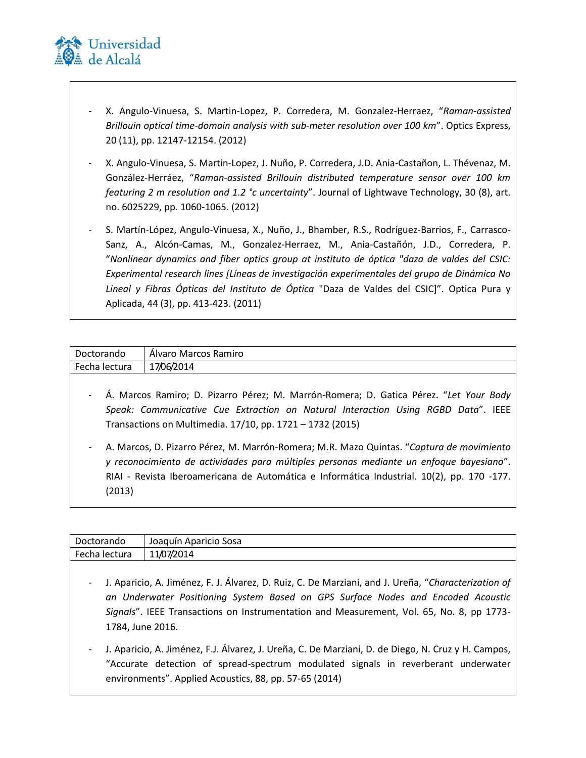

- X. Angulo-Vinuesa, S. Martin-Lopez, P. Corredera, M. Gonzalez-Herraez, "*Raman-assisted Brillouin optical time-domain analysis with sub-meter resolution over 100 km*". Optics Express, 20 (11), pp. 12147-12154. (2012)
- X. Angulo-Vinuesa, S. Martin-Lopez, J. Nuño, P. Corredera, J.D. Ania-Castañon, L. Thévenaz, M. González-Herráez, "*Raman-assisted Brillouin distributed temperature sensor over 100 km featuring 2 m resolution and 1.2 °c uncertainty*". Journal of Lightwave Technology, 30 (8), art. no. 6025229, pp. 1060-1065. (2012)
- S. Martín-López, Angulo-Vinuesa, X., Nuño, J., Bhamber, R.S., Rodríguez-Barrios, F., Carrasco-Sanz, A., Alcón-Camas, M., Gonzalez-Herraez, M., Ania-Castañón, J.D., Corredera, P. "*Nonlinear dynamics and fiber optics group at instituto de óptica "daza de valdes del CSIC: Experimental research lines [Líneas de investigación experimentales del grupo de Dinámica No Lineal y Fibras Ópticas del Instituto de Óptica* "Daza de Valdes del CSIC]". Optica Pura y Aplicada, 44 (3), pp. 413-423. (2011)

| Doctorando    | Álvaro Marcos Ramiro                                                                    |
|---------------|-----------------------------------------------------------------------------------------|
| Fecha lectura | 17/06/2014                                                                              |
|               |                                                                                         |
|               | - Á. Marcos Ramiro; D. Pizarro Pérez; M. Marrón-Romera; D. Gatica Pérez. "Let Your Body |

- *Speak: Communicative Cue Extraction on Natural Interaction Using RGBD Data*". IEEE Transactions on Multimedia. 17/10, pp. 1721 – 1732 (2015)
- A. Marcos, D. Pizarro Pérez, M. Marrón-Romera; M.R. Mazo Quintas. "*Captura de movimiento y reconocimiento de actividades para múltiples personas mediante un enfoque bayesiano*". RIAI - Revista Iberoamericana de Automática e Informática Industrial. 10(2), pp. 170 -177. (2013)

| Doctorando    | Joaquín Aparicio Sosa                                                                    |
|---------------|------------------------------------------------------------------------------------------|
| Fecha lectura | 11/07/2014                                                                               |
|               | Aporicia A liménez E L'Álvarez D. Duiz C. De Marzioni, and L. Uroño "Characterization of |

- J. Aparicio, A. Jiménez, F. J. Álvarez, D. Ruiz, C. De Marziani, and J. Ureña, "*Characterization of an Underwater Positioning System Based on GPS Surface Nodes and Encoded Acoustic Signals*". IEEE Transactions on Instrumentation and Measurement, Vol. 65, No. 8, pp 1773- 1784, June 2016.
- J. Aparicio, A. Jiménez, F.J. Álvarez, J. Ureña, C. De Marziani, D. de Diego, N. Cruz y H. Campos, "Accurate detection of spread-spectrum modulated signals in reverberant underwater environments". Applied Acoustics, 88, pp. 57-65 (2014)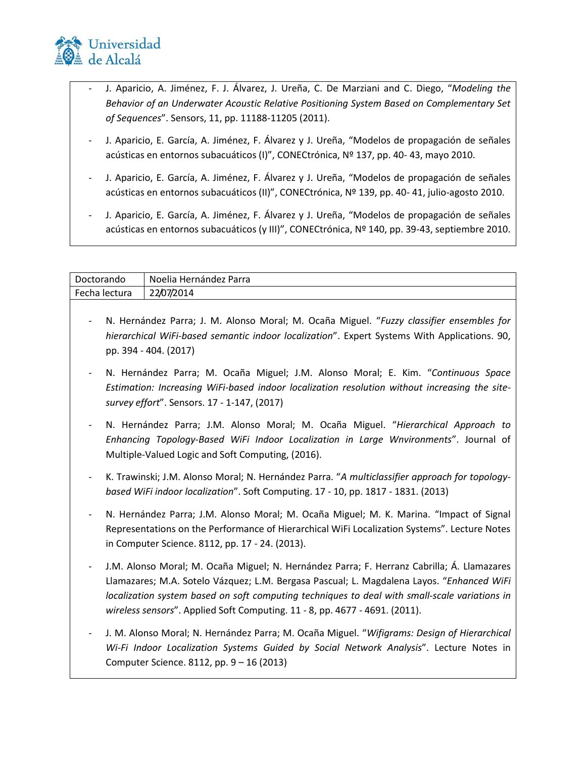

- J. Aparicio, A. Jiménez, F. J. Álvarez, J. Ureña, C. De Marziani and C. Diego, "*Modeling the Behavior of an Underwater Acoustic Relative Positioning System Based on Complementary Set of Sequences*". Sensors, 11, pp. 11188-11205 (2011).
- J. Aparicio, E. García, A. Jiménez, F. Álvarez y J. Ureña, "Modelos de propagación de señales acústicas en entornos subacuáticos (I)", CONECtrónica, Nº 137, pp. 40- 43, mayo 2010.
- J. Aparicio, E. García, A. Jiménez, F. Álvarez y J. Ureña, "Modelos de propagación de señales acústicas en entornos subacuáticos (II)", CONECtrónica, Nº 139, pp. 40- 41, julio-agosto 2010.
- J. Aparicio, E. García, A. Jiménez, F. Álvarez y J. Ureña, "Modelos de propagación de señales acústicas en entornos subacuáticos (y III)", CONECtrónica, Nº 140, pp. 39-43, septiembre 2010.

| Doctorando    | Noelia Hernández Parra                                                                                                                                                                                                                                                                                                                                                  |
|---------------|-------------------------------------------------------------------------------------------------------------------------------------------------------------------------------------------------------------------------------------------------------------------------------------------------------------------------------------------------------------------------|
| Fecha lectura | 22/07/2014                                                                                                                                                                                                                                                                                                                                                              |
|               | N. Hernández Parra; J. M. Alonso Moral; M. Ocaña Miguel. "Fuzzy classifier ensembles for<br>hierarchical WiFi-based semantic indoor localization". Expert Systems With Applications. 90,<br>pp. 394 - 404. (2017)                                                                                                                                                       |
|               | N. Hernández Parra; M. Ocaña Miguel; J.M. Alonso Moral; E. Kim. "Continuous Space<br>Estimation: Increasing WiFi-based indoor localization resolution without increasing the site-<br>survey effort". Sensors. 17 - 1-147, (2017)                                                                                                                                       |
|               | N. Hernández Parra; J.M. Alonso Moral; M. Ocaña Miguel. "Hierarchical Approach to<br>Enhancing Topology-Based WiFi Indoor Localization in Large Wnvironments". Journal of<br>Multiple-Valued Logic and Soft Computing, (2016).                                                                                                                                          |
|               | K. Trawinski; J.M. Alonso Moral; N. Hernández Parra. "A multiclassifier approach for topology-<br>based WiFi indoor localization". Soft Computing. 17 - 10, pp. 1817 - 1831. (2013)                                                                                                                                                                                     |
|               | N. Hernández Parra; J.M. Alonso Moral; M. Ocaña Miguel; M. K. Marina. "Impact of Signal<br>Representations on the Performance of Hierarchical WiFi Localization Systems". Lecture Notes<br>in Computer Science. 8112, pp. 17 - 24. (2013).                                                                                                                              |
|               | J.M. Alonso Moral; M. Ocaña Miguel; N. Hernández Parra; F. Herranz Cabrilla; Á. Llamazares<br>Llamazares; M.A. Sotelo Vázquez; L.M. Bergasa Pascual; L. Magdalena Layos. "Enhanced WiFi<br>localization system based on soft computing techniques to deal with small-scale variations in<br>wireless sensors". Applied Soft Computing. 11 - 8, pp. 4677 - 4691. (2011). |
|               | J. M. Alonso Moral; N. Hernández Parra; M. Ocaña Miguel. "Wifigrams: Design of Hierarchical<br>Wi-Fi Indoor Localization Systems Guided by Social Network Analysis". Lecture Notes in<br>Computer Science. 8112, pp. 9 - 16 (2013)                                                                                                                                      |
|               |                                                                                                                                                                                                                                                                                                                                                                         |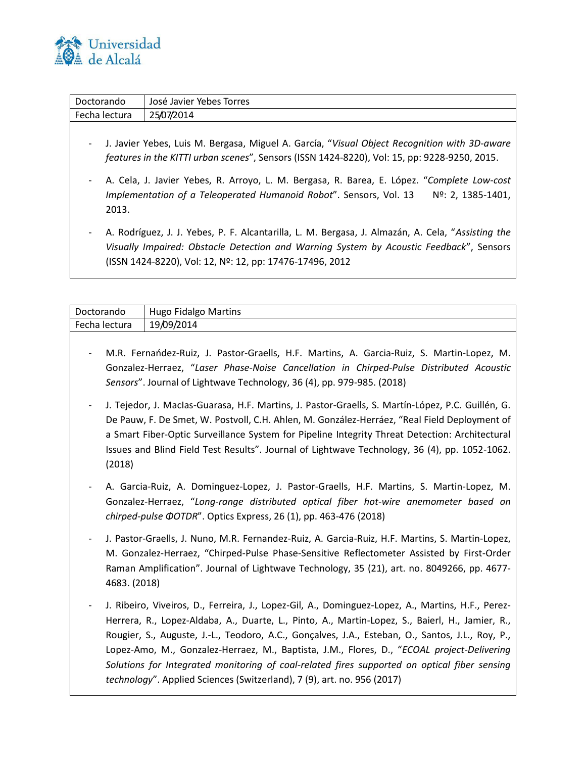

| Doctorando               | José Javier Yebes Torres                                                                                                                                                                                                                                 |
|--------------------------|----------------------------------------------------------------------------------------------------------------------------------------------------------------------------------------------------------------------------------------------------------|
| Fecha lectura            | 25/07/2014                                                                                                                                                                                                                                               |
| $\overline{\phantom{a}}$ | J. Javier Yebes, Luis M. Bergasa, Miguel A. García, "Visual Object Recognition with 3D-aware<br>features in the KITTI urban scenes", Sensors (ISSN 1424-8220), Vol: 15, pp: 9228-9250, 2015.                                                             |
| 2013.                    | A. Cela, J. Javier Yebes, R. Arroyo, L. M. Bergasa, R. Barea, E. López. "Complete Low-cost<br>Implementation of a Teleoperated Humanoid Robot". Sensors, Vol. 13<br>Nº: 2, 1385-1401,                                                                    |
|                          | A. Rodríguez, J. J. Yebes, P. F. Alcantarilla, L. M. Bergasa, J. Almazán, A. Cela, "Assisting the<br>Visually Impaired: Obstacle Detection and Warning System by Acoustic Feedback", Sensors<br>(ISSN 1424-8220), Vol: 12, Nº: 12, pp: 17476-17496, 2012 |

|               | Hugo Fidalgo Martins |
|---------------|----------------------|
| Fecha lectura | 19/09/2014           |

- M.R. Fernańdez-Ruiz, J. Pastor-Graells, H.F. Martins, A. Garcia-Ruiz, S. Martin-Lopez, M. Gonzalez-Herraez, "*Laser Phase-Noise Cancellation in Chirped-Pulse Distributed Acoustic Sensors*". Journal of Lightwave Technology, 36 (4), pp. 979-985. (2018)
- J. Tejedor, J. MacIas-Guarasa, H.F. Martins, J. Pastor-Graells, S. Martín-López, P.C. Guillén, G. De Pauw, F. De Smet, W. Postvoll, C.H. Ahlen, M. González-Herráez, "Real Field Deployment of a Smart Fiber-Optic Surveillance System for Pipeline Integrity Threat Detection: Architectural Issues and Blind Field Test Results". Journal of Lightwave Technology, 36 (4), pp. 1052-1062. (2018)
- A. Garcia-Ruiz, A. Dominguez-Lopez, J. Pastor-Graells, H.F. Martins, S. Martin-Lopez, M. Gonzalez-Herraez, "*Long-range distributed optical fiber hot-wire anemometer based on chirped-pulse ΦOTDR*". Optics Express, 26 (1), pp. 463-476 (2018)
- J. Pastor-Graells, J. Nuno, M.R. Fernandez-Ruiz, A. Garcia-Ruiz, H.F. Martins, S. Martin-Lopez, M. Gonzalez-Herraez, "Chirped-Pulse Phase-Sensitive Reflectometer Assisted by First-Order Raman Amplification". Journal of Lightwave Technology, 35 (21), art. no. 8049266, pp. 4677- 4683. (2018)
- J. Ribeiro, Viveiros, D., Ferreira, J., Lopez-Gil, A., Dominguez-Lopez, A., Martins, H.F., Perez-Herrera, R., Lopez-Aldaba, A., Duarte, L., Pinto, A., Martin-Lopez, S., Baierl, H., Jamier, R., Rougier, S., Auguste, J.-L., Teodoro, A.C., Gonçalves, J.A., Esteban, O., Santos, J.L., Roy, P., Lopez-Amo, M., Gonzalez-Herraez, M., Baptista, J.M., Flores, D., "*ECOAL project-Delivering Solutions for Integrated monitoring of coal-related fires supported on optical fiber sensing technology*". Applied Sciences (Switzerland), 7 (9), art. no. 956 (2017)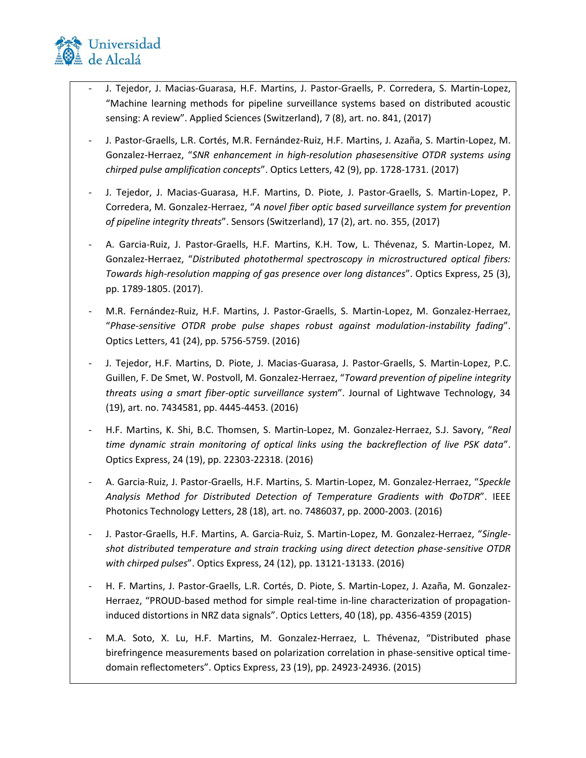

- J. Tejedor, J. Macias-Guarasa, H.F. Martins, J. Pastor-Graells, P. Corredera, S. Martin-Lopez, "Machine learning methods for pipeline surveillance systems based on distributed acoustic sensing: A review". Applied Sciences (Switzerland), 7 (8), art. no. 841, (2017)
- J. Pastor-Graells, L.R. Cortés, M.R. Fernández-Ruiz, H.F. Martins, J. Azaña, S. Martin-Lopez, M. Gonzalez-Herraez, "*SNR enhancement in high-resolution phasesensitive OTDR systems using chirped pulse amplification concepts*". Optics Letters, 42 (9), pp. 1728-1731. (2017)
- J. Tejedor, J. Macias-Guarasa, H.F. Martins, D. Piote, J. Pastor-Graells, S. Martin-Lopez, P. Corredera, M. Gonzalez-Herraez, "*A novel fiber optic based surveillance system for prevention of pipeline integrity threats*". Sensors (Switzerland), 17 (2), art. no. 355, (2017)
- A. Garcia-Ruiz, J. Pastor-Graells, H.F. Martins, K.H. Tow, L. Thévenaz, S. Martin-Lopez, M. Gonzalez-Herraez, "*Distributed photothermal spectroscopy in microstructured optical fibers: Towards high-resolution mapping of gas presence over long distances*". Optics Express, 25 (3), pp. 1789-1805. (2017).
- M.R. Fernández-Ruiz, H.F. Martins, J. Pastor-Graells, S. Martin-Lopez, M. Gonzalez-Herraez, "*Phase-sensitive OTDR probe pulse shapes robust against modulation-instability fading*". Optics Letters, 41 (24), pp. 5756-5759. (2016)
- J. Tejedor, H.F. Martins, D. Piote, J. Macias-Guarasa, J. Pastor-Graells, S. Martin-Lopez, P.C. Guillen, F. De Smet, W. Postvoll, M. Gonzalez-Herraez, "*Toward prevention of pipeline integrity threats using a smart fiber-optic surveillance system*". Journal of Lightwave Technology, 34 (19), art. no. 7434581, pp. 4445-4453. (2016)
- H.F. Martins, K. Shi, B.C. Thomsen, S. Martin-Lopez, M. Gonzalez-Herraez, S.J. Savory, "*Real time dynamic strain monitoring of optical links using the backreflection of live PSK data*". Optics Express, 24 (19), pp. 22303-22318. (2016)
- A. Garcia-Ruiz, J. Pastor-Graells, H.F. Martins, S. Martin-Lopez, M. Gonzalez-Herraez, "*Speckle Analysis Method for Distributed Detection of Temperature Gradients with ΦoTDR*". IEEE Photonics Technology Letters, 28 (18), art. no. 7486037, pp. 2000-2003. (2016)
- J. Pastor-Graells, H.F. Martins, A. Garcia-Ruiz, S. Martin-Lopez, M. Gonzalez-Herraez, "*Singleshot distributed temperature and strain tracking using direct detection phase-sensitive OTDR with chirped pulses*". Optics Express, 24 (12), pp. 13121-13133. (2016)
- H. F. Martins, J. Pastor-Graells, L.R. Cortés, D. Piote, S. Martin-Lopez, J. Azaña, M. Gonzalez-Herraez, "PROUD-based method for simple real-time in-line characterization of propagationinduced distortions in NRZ data signals". Optics Letters, 40 (18), pp. 4356-4359 (2015)
- M.A. Soto, X. Lu, H.F. Martins, M. Gonzalez-Herraez, L. Thévenaz, "Distributed phase birefringence measurements based on polarization correlation in phase-sensitive optical timedomain reflectometers". Optics Express, 23 (19), pp. 24923-24936. (2015)